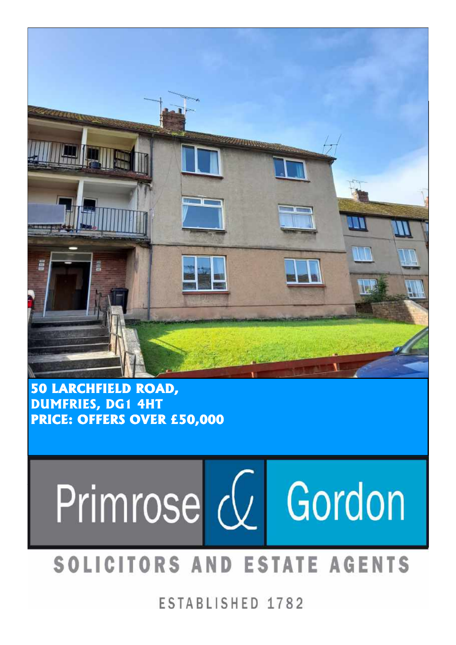

50 LARCHFIELD ROAD, DUMFRIES, DG1 4HT PRICE: OFFERS OVER £50,000



## SOLICITORS AND ESTATE AGENTS

ESTABLISHED 1782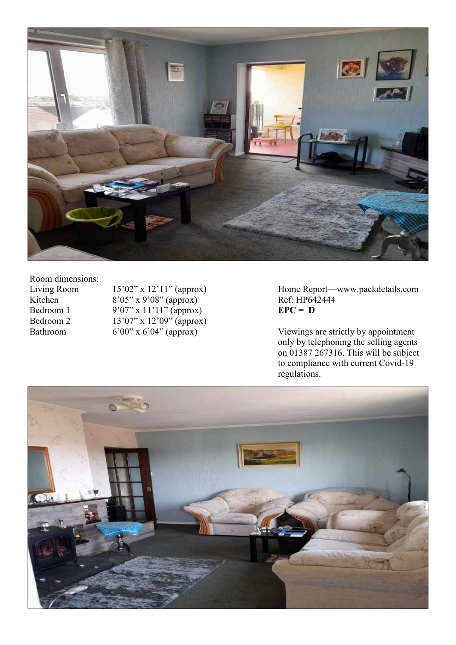

Room dimensions:<br>Living Room

Kitchen 8'05" x 9'08" (approx) Ref: HP642444 Bedroom 1 9'07" x 11'11" (approx)  $EPC = D$ Bedroom 2  $13'07'' \times 12'09''$  (approx)<br>Bathroom 6'00" x 6'04" (approx)

Living Room 15'02" x 12'11" (approx) Home Report—www.packdetails.com<br>Kitchen 8'05" x 9'08" (approx) Ref: HP642444

Bathroom 6'00" x 6'04" (approx) Viewings are strictly by appointment only by telephoning the selling agents on 01387 267316. This will be subject to compliance with current Covid-19 regulations.

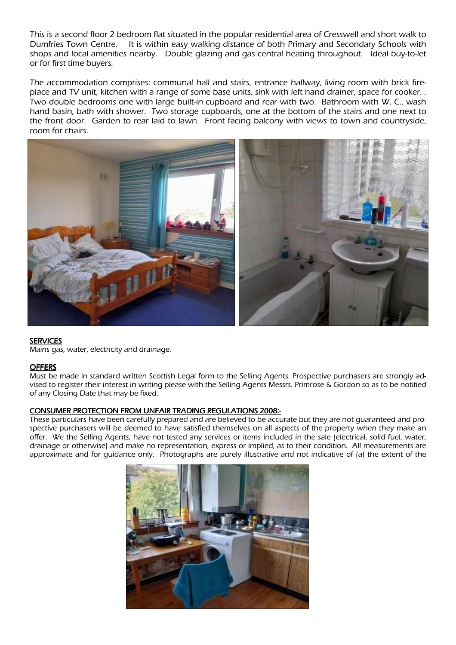This is a second floor 2 bedroom flat situated in the popular residential area of Cresswell and short walk to Dumfries Town Centre. It is within easy walking distance of both Primary and Secondary Schools with shops and local amenities nearby. Double glazing and gas central heating throughout. Ideal buy-to-let or for first time buyers.

The accommodation comprises: communal hall and stairs, entrance hallway, living room with brick fireplace and TV unit, kitchen with a range of some base units, sink with left hand drainer, space for cooker. . Two double bedrooms one with large built-in cupboard and rear with two. Bathroom with W. C., wash hand basin, bath with shower. Two storage cupboards, one at the bottom of the stairs and one next to the front door. Garden to rear laid to lawn. Front facing balcony with views to town and countryside, room for chairs.



## **SERVICES**

Mains gas, water, electricity and drainage.

## **OFFERS**

Must be made in standard written Scottish Legal form to the Selling Agents. Prospective purchasers are strongly advised to register their interest in writing please with the Selling Agents Messrs. Primrose & Gordon so as to be notified of any Closing Date that may be fixed.

## CONSUMER PROTECTION FROM UNFAIR TRADING REGULATIONS 2008:-

These particulars have been carefully prepared and are believed to be accurate but they are not guaranteed and prospective purchasers will be deemed to have satisfied themselves on all aspects of the property when they make an offer. We the Selling Agents, have not tested any services or items included in the sale (electrical, solid fuel, water, drainage or otherwise) and make no representation, express or implied, as to their condition. All measurements are approximate and for guidance only. Photographs are purely illustrative and not indicative of (a) the extent of the